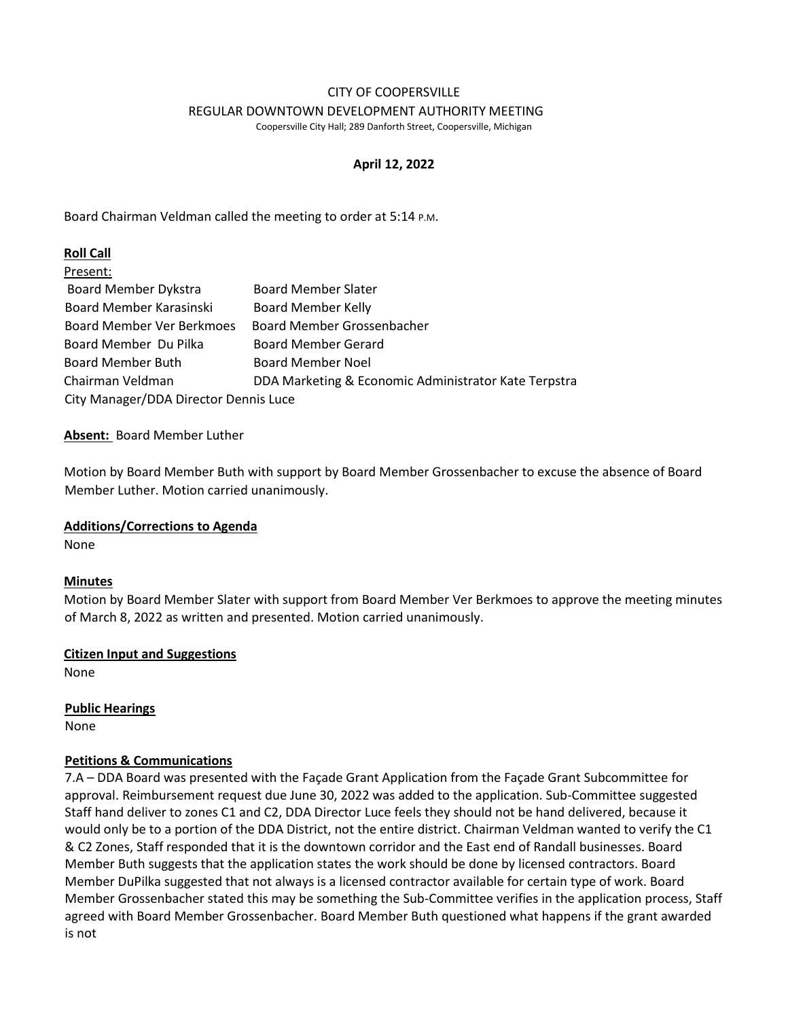#### CITY OF COOPERSVILLE REGULAR DOWNTOWN DEVELOPMENT AUTHORITY MEETING

Coopersville City Hall; 289 Danforth Street, Coopersville, Michigan

# **April 12, 2022**

Board Chairman Veldman called the meeting to order at 5:14 P.M.

# **Roll Call**

| Present:                              |                                                      |
|---------------------------------------|------------------------------------------------------|
| <b>Board Member Dykstra</b>           | <b>Board Member Slater</b>                           |
| Board Member Karasinski               | <b>Board Member Kelly</b>                            |
| <b>Board Member Ver Berkmoes</b>      | Board Member Grossenbacher                           |
| Board Member Du Pilka                 | <b>Board Member Gerard</b>                           |
| <b>Board Member Buth</b>              | <b>Board Member Noel</b>                             |
| Chairman Veldman                      | DDA Marketing & Economic Administrator Kate Terpstra |
| City Manager/DDA Director Dennis Luce |                                                      |

# **Absent:** Board Member Luther

Motion by Board Member Buth with support by Board Member Grossenbacher to excuse the absence of Board Member Luther. Motion carried unanimously.

# **Additions/Corrections to Agenda**

None

# **Minutes**

Motion by Board Member Slater with support from Board Member Ver Berkmoes to approve the meeting minutes of March 8, 2022 as written and presented. Motion carried unanimously.

# **Citizen Input and Suggestions**

None

**Public Hearings** 

None

# **Petitions & Communications**

7.A – DDA Board was presented with the Façade Grant Application from the Façade Grant Subcommittee for approval. Reimbursement request due June 30, 2022 was added to the application. Sub-Committee suggested Staff hand deliver to zones C1 and C2, DDA Director Luce feels they should not be hand delivered, because it would only be to a portion of the DDA District, not the entire district. Chairman Veldman wanted to verify the C1 & C2 Zones, Staff responded that it is the downtown corridor and the East end of Randall businesses. Board Member Buth suggests that the application states the work should be done by licensed contractors. Board Member DuPilka suggested that not always is a licensed contractor available for certain type of work. Board Member Grossenbacher stated this may be something the Sub-Committee verifies in the application process, Staff agreed with Board Member Grossenbacher. Board Member Buth questioned what happens if the grant awarded is not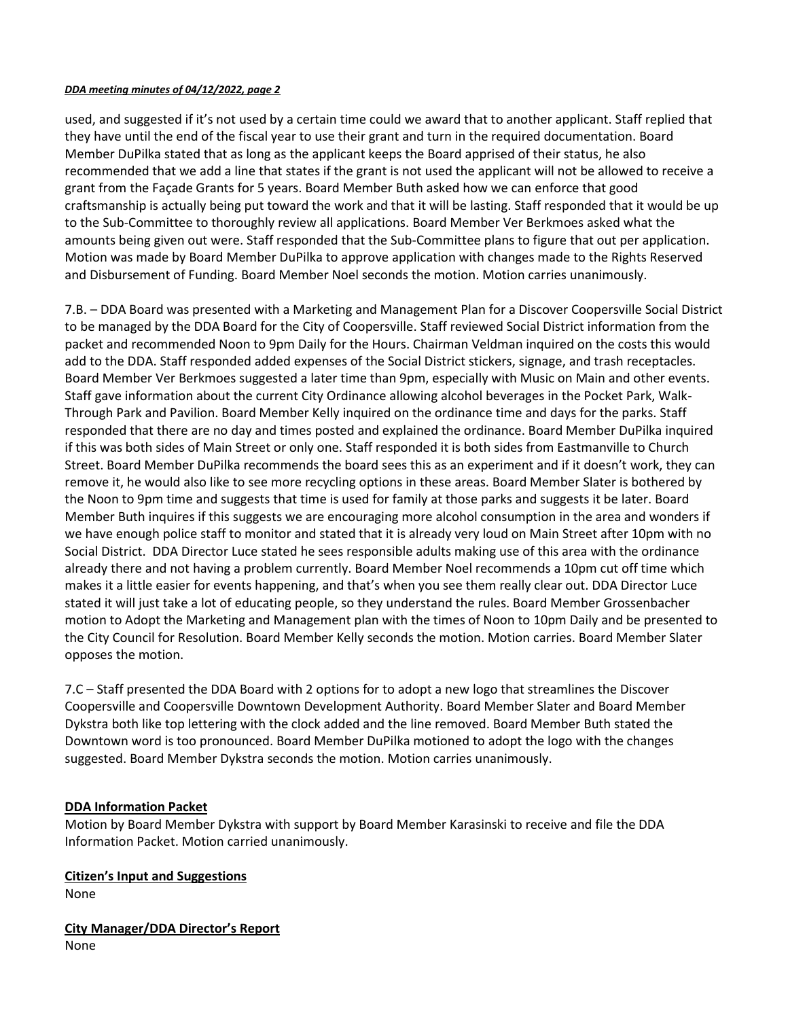#### *DDA meeting minutes of 04/12/2022, page 2*

used, and suggested if it's not used by a certain time could we award that to another applicant. Staff replied that they have until the end of the fiscal year to use their grant and turn in the required documentation. Board Member DuPilka stated that as long as the applicant keeps the Board apprised of their status, he also recommended that we add a line that states if the grant is not used the applicant will not be allowed to receive a grant from the Façade Grants for 5 years. Board Member Buth asked how we can enforce that good craftsmanship is actually being put toward the work and that it will be lasting. Staff responded that it would be up to the Sub-Committee to thoroughly review all applications. Board Member Ver Berkmoes asked what the amounts being given out were. Staff responded that the Sub-Committee plans to figure that out per application. Motion was made by Board Member DuPilka to approve application with changes made to the Rights Reserved and Disbursement of Funding. Board Member Noel seconds the motion. Motion carries unanimously.

7.B. – DDA Board was presented with a Marketing and Management Plan for a Discover Coopersville Social District to be managed by the DDA Board for the City of Coopersville. Staff reviewed Social District information from the packet and recommended Noon to 9pm Daily for the Hours. Chairman Veldman inquired on the costs this would add to the DDA. Staff responded added expenses of the Social District stickers, signage, and trash receptacles. Board Member Ver Berkmoes suggested a later time than 9pm, especially with Music on Main and other events. Staff gave information about the current City Ordinance allowing alcohol beverages in the Pocket Park, Walk-Through Park and Pavilion. Board Member Kelly inquired on the ordinance time and days for the parks. Staff responded that there are no day and times posted and explained the ordinance. Board Member DuPilka inquired if this was both sides of Main Street or only one. Staff responded it is both sides from Eastmanville to Church Street. Board Member DuPilka recommends the board sees this as an experiment and if it doesn't work, they can remove it, he would also like to see more recycling options in these areas. Board Member Slater is bothered by the Noon to 9pm time and suggests that time is used for family at those parks and suggests it be later. Board Member Buth inquires if this suggests we are encouraging more alcohol consumption in the area and wonders if we have enough police staff to monitor and stated that it is already very loud on Main Street after 10pm with no Social District. DDA Director Luce stated he sees responsible adults making use of this area with the ordinance already there and not having a problem currently. Board Member Noel recommends a 10pm cut off time which makes it a little easier for events happening, and that's when you see them really clear out. DDA Director Luce stated it will just take a lot of educating people, so they understand the rules. Board Member Grossenbacher motion to Adopt the Marketing and Management plan with the times of Noon to 10pm Daily and be presented to the City Council for Resolution. Board Member Kelly seconds the motion. Motion carries. Board Member Slater opposes the motion.

7.C – Staff presented the DDA Board with 2 options for to adopt a new logo that streamlines the Discover Coopersville and Coopersville Downtown Development Authority. Board Member Slater and Board Member Dykstra both like top lettering with the clock added and the line removed. Board Member Buth stated the Downtown word is too pronounced. Board Member DuPilka motioned to adopt the logo with the changes suggested. Board Member Dykstra seconds the motion. Motion carries unanimously.

# **DDA Information Packet**

Motion by Board Member Dykstra with support by Board Member Karasinski to receive and file the DDA Information Packet. Motion carried unanimously.

**Citizen's Input and Suggestions**  None

**City Manager/DDA Director's Report** None